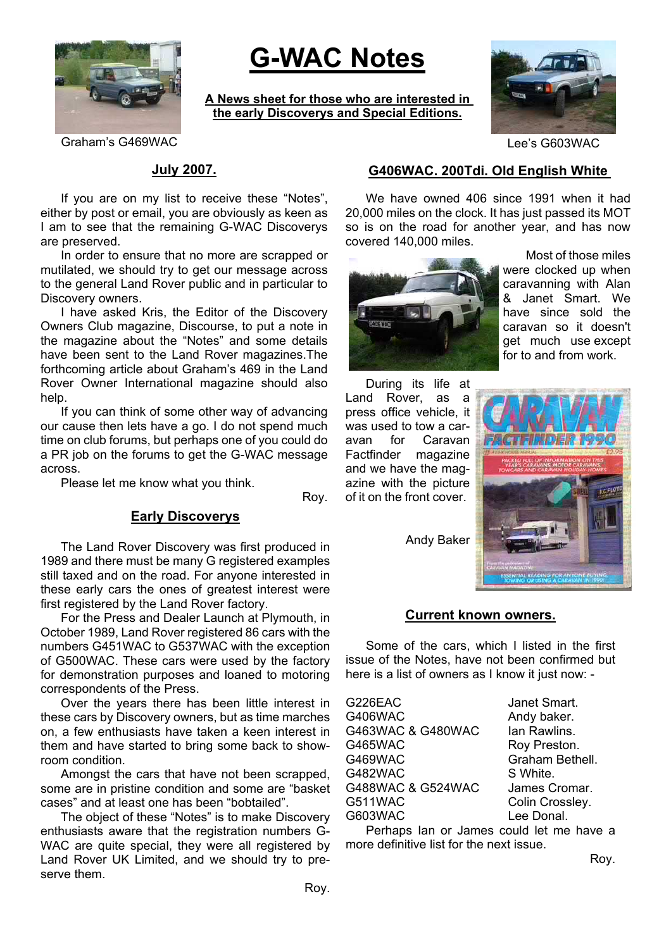

# **G-WAC Notes**

**A News sheet for those who are interested in the early Discoverys and Special Editions.**



Graham's G469WAC **CONSERVING** CONSERVERS CONSERVERS CONSUMING Lee's G603WAC

### **July 2007.**

If you are on my list to receive these "Notes", either by post or email, you are obviously as keen as I am to see that the remaining G-WAC Discoverys are preserved.

In order to ensure that no more are scrapped or mutilated, we should try to get our message across to the general Land Rover public and in particular to Discovery owners.

I have asked Kris, the Editor of the Discovery Owners Club magazine, Discourse, to put a note in the magazine about the "Notes" and some details have been sent to the Land Rover magazines.The forthcoming article about Graham's 469 in the Land Rover Owner International magazine should also help.

If you can think of some other way of advancing our cause then lets have a go. I do not spend much time on club forums, but perhaps one of you could do a PR job on the forums to get the G-WAC message across.

Please let me know what you think.

Roy.

#### **Early Discoverys**

The Land Rover Discovery was first produced in 1989 and there must be many G registered examples still taxed and on the road. For anyone interested in these early cars the ones of greatest interest were first registered by the Land Rover factory.

For the Press and Dealer Launch at Plymouth, in October 1989, Land Rover registered 86 cars with the numbers G451WAC to G537WAC with the exception of G500WAC. These cars were used by the factory for demonstration purposes and loaned to motoring correspondents of the Press.

Over the years there has been little interest in these cars by Discovery owners, but as time marches on, a few enthusiasts have taken a keen interest in them and have started to bring some back to showroom condition.

Amongst the cars that have not been scrapped, some are in pristine condition and some are "basket cases" and at least one has been "bobtailed".

The object of these "Notes" is to make Discovery enthusiasts aware that the registration numbers G-WAC are quite special, they were all registered by Land Rover UK Limited, and we should try to preserve them.

# **G406WAC. 200Tdi. Old English White**

We have owned 406 since 1991 when it had 20,000 miles on the clock. It has just passed its MOT so is on the road for another year, and has now covered 140,000 miles.



 Most of those miles were clocked up when caravanning with Alan & Janet Smart. We have since sold the caravan so it doesn't get much use except for to and from work.

During its life at Land Rover, as a press office vehicle, it was used to tow a caravan for Caravan Factfinder magazine and we have the magazine with the picture of it on the front cover.

Andy Baker



#### **Current known owners.**

Some of the cars, which I listed in the first issue of the Notes, have not been confirmed but here is a list of owners as I know it just now: -

| G226EAC           | Janet Smart.    |
|-------------------|-----------------|
| G406WAC           | Andy baker.     |
| G463WAC & G480WAC | lan Rawlins.    |
| G465WAC           | Roy Preston.    |
| G469WAC           | Graham Bethell. |
| G482WAC           | S White.        |
| G488WAC & G524WAC | James Cromar.   |
| G511WAC           | Colin Crossley. |
| G603WAC           | Lee Donal.      |

Perhaps Ian or James could let me have a more definitive list for the next issue.

Roy.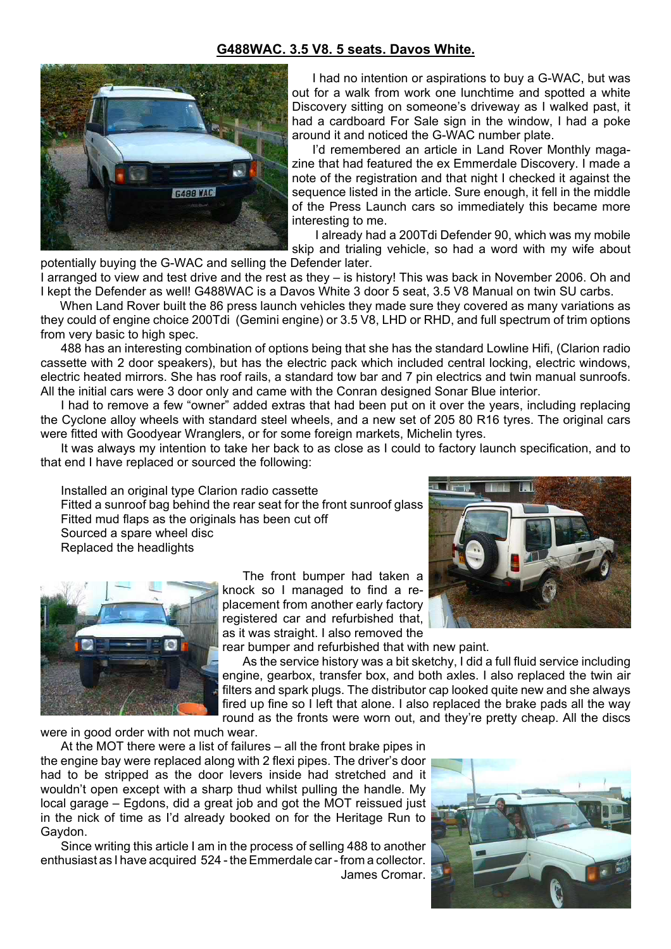## **G488WAC. 3.5 V8. 5 seats. Davos White.**



I had no intention or aspirations to buy a G-WAC, but was out for a walk from work one lunchtime and spotted a white Discovery sitting on someone's driveway as I walked past, it had a cardboard For Sale sign in the window. I had a poke around it and noticed the G-WAC number plate.

I'd remembered an article in Land Rover Monthly magazine that had featured the ex Emmerdale Discovery. I made a note of the registration and that night I checked it against the sequence listed in the article. Sure enough, it fell in the middle of the Press Launch cars so immediately this became more interesting to me.

I already had a 200Tdi Defender 90, which was my mobile skip and trialing vehicle, so had a word with my wife about

potentially buying the G-WAC and selling the Defender later.

I arranged to view and test drive and the rest as they – is history! This was back in November 2006. Oh and I kept the Defender as well! G488WAC is a Davos White 3 door 5 seat, 3.5 V8 Manual on twin SU carbs.

 When Land Rover built the 86 press launch vehicles they made sure they covered as many variations as they could of engine choice 200Tdi (Gemini engine) or 3.5 V8, LHD or RHD, and full spectrum of trim options from very basic to high spec.

488 has an interesting combination of options being that she has the standard Lowline Hifi, (Clarion radio cassette with 2 door speakers), but has the electric pack which included central locking, electric windows, electric heated mirrors. She has roof rails, a standard tow bar and 7 pin electrics and twin manual sunroofs. All the initial cars were 3 door only and came with the Conran designed Sonar Blue interior.

I had to remove a few "owner" added extras that had been put on it over the years, including replacing the Cyclone alloy wheels with standard steel wheels, and a new set of 205 80 R16 tyres. The original cars were fitted with Goodyear Wranglers, or for some foreign markets, Michelin tyres.

It was always my intention to take her back to as close as I could to factory launch specification, and to that end I have replaced or sourced the following:

Installed an original type Clarion radio cassette Fitted a sunroof bag behind the rear seat for the front sunroof glass Fitted mud flaps as the originals has been cut off Sourced a spare wheel disc Replaced the headlights



The front bumper had taken a knock so I managed to find a replacement from another early factory registered car and refurbished that, as it was straight. I also removed the



rear bumper and refurbished that with new paint.

As the service history was a bit sketchy, I did a full fluid service including engine, gearbox, transfer box, and both axles. I also replaced the twin air filters and spark plugs. The distributor cap looked quite new and she always fired up fine so I left that alone. I also replaced the brake pads all the way round as the fronts were worn out, and they're pretty cheap. All the discs

were in good order with not much wear.

At the MOT there were a list of failures – all the front brake pipes in the engine bay were replaced along with 2 flexi pipes. The driver's door had to be stripped as the door levers inside had stretched and it wouldn't open except with a sharp thud whilst pulling the handle. My local garage – Egdons, did a great job and got the MOT reissued just in the nick of time as I'd already booked on for the Heritage Run to Gaydon.

Since writing this article I am in the process of selling 488 to another enthusiast as I have acquired 524 - the Emmerdale car - from a collector. James Cromar.